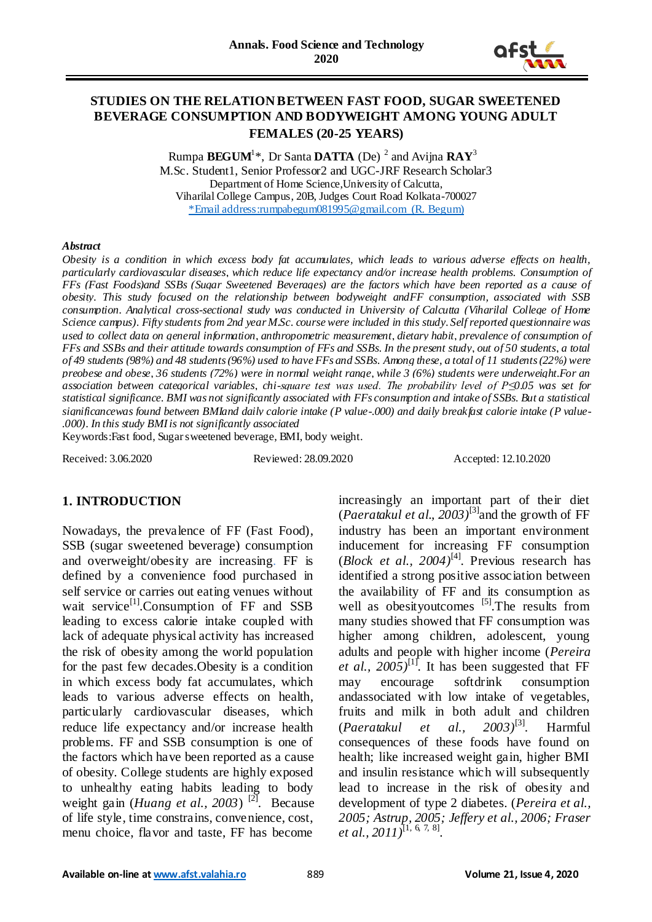

## **STUDIES ON THE RELATION BETWEEN FAST FOOD, SUGAR SWEETENED BEVERAGE CONSUMPTION AND BODYWEIGHT AMONG YOUNG ADULT FEMALES (20-25 YEARS)**

Rumpa **BEGUM**<sup>1</sup> \*, Dr Santa **DATTA** (De) <sup>2</sup> and Avijna **RAY**<sup>3</sup> M.Sc. Student1, Senior Professor2 and UGC-JRF Research Scholar3 Department of Home Science,University of Calcutta, Viharilal College Campus, 20B, Judges Court Road Kolkata-700027 \*Email address[:rumpabegum081995@gmail.com](mailto:rumpabegum081995@gmail.com) (R. Begum)

#### *Abstract*

*Obesity is a condition in which excess body fat accumulates, which leads to various adverse effects on health, particularly cardiovascular diseases, which reduce life expectancy and/or increase health problems. Consumption of FFs (Fast Foods)and SSBs (Sugar Sweetened Beverages) are the factors which have been reported as a cause of obesity. This study focused on the relationship between bodyweight andFF consumption, associated with SSB consumption. Analytical cross-sectional study was conducted in University of Calcutta (Viharilal College of Home Science campus). Fifty students from 2nd year M.Sc. course were included in this study. Self reported questionnaire was used to collect data on general information, anthropometric measurement, dietary habit, prevalence of consumption of FFs and SSBs and their attitude towards consumption of FFs and SSBs. In the present study, out of 50 students, a total of 49 students (98%) and 48 students (96%) used to have FFs and SSBs. Among these, a total of 11 students (22%) were preobese and obese, 36 students (72%) were in normal weight range, while 3 (6%) students were underweight.For an association between categorical variables, chi-square test was used. The probability level of P≤0.05 was set for statistical significance. BMI was not significantly associated with FFs consumption and intake of SSBs. But a statistical significancewas found between BMIand daily calorie intake (P value-.000) and daily breakfast calorie intake (P value- .000). In this study BMI is not significantly associated*

Keywords:Fast food, Sugar sweetened beverage, BMI, body weight.

Received: 3.06.2020 Reviewed: 28.09.2020 Accepted: 12.10.2020

## **1. INTRODUCTION**

Nowadays, the prevalence of FF (Fast Food), SSB (sugar sweetened beverage) consumption and overweight/obesity are increasing. FF is defined by a convenience food purchased in self service or carries out eating venues without wait service<sup>[1]</sup>.Consumption of  $FF$  and SSB leading to excess calorie intake coupled with lack of adequate physical activity has increased the risk of obesity among the world population for the past few decades.Obesity is a condition in which excess body fat accumulates, which leads to various adverse effects on health, particularly cardiovascular diseases, which reduce life expectancy and/or increase health problems. FF and SSB consumption is one of the factors which have been reported as a cause of obesity. College students are highly exposed to unhealthy eating habits leading to body weight gain (*Huang et al.*, 2003)<sup>[2]</sup>. Because of life style, time constrains, convenience, cost, menu choice, flavor and taste, FF has become

increasingly an important part of their diet (*Paeratakul et al., 2003*)<sup>[3]</sup> and the growth of FF industry has been an important environment inducement for increasing FF consumption  $(Block \text{ et al., } 2004)^{[4]}$ . Previous research has identified a strong positive association between the availability of FF and its consumption as well as obesityoutcomes <sup>[5]</sup>. The results from many studies showed that FF consumption was higher among children, adolescent, young adults and people with higher income (*Pereira et al., 2005*)<sup>[1]</sup>. It has been suggested that FF may encourage softdrink consumption andassociated with low intake of vegetables, fruits and milk in both adult and children (*Paeratakul et al., 2003)*[3]. Harmful consequences of these foods have found on health; like increased weight gain, higher BMI and insulin resistance which will subsequently lead to increase in the risk of obesity and development of type 2 diabetes. (*Pereira et al., 2005; Astrup, 2005; Jeffery et al., 2006; Fraser et al., 2011)*[1, 6, 7, 8] .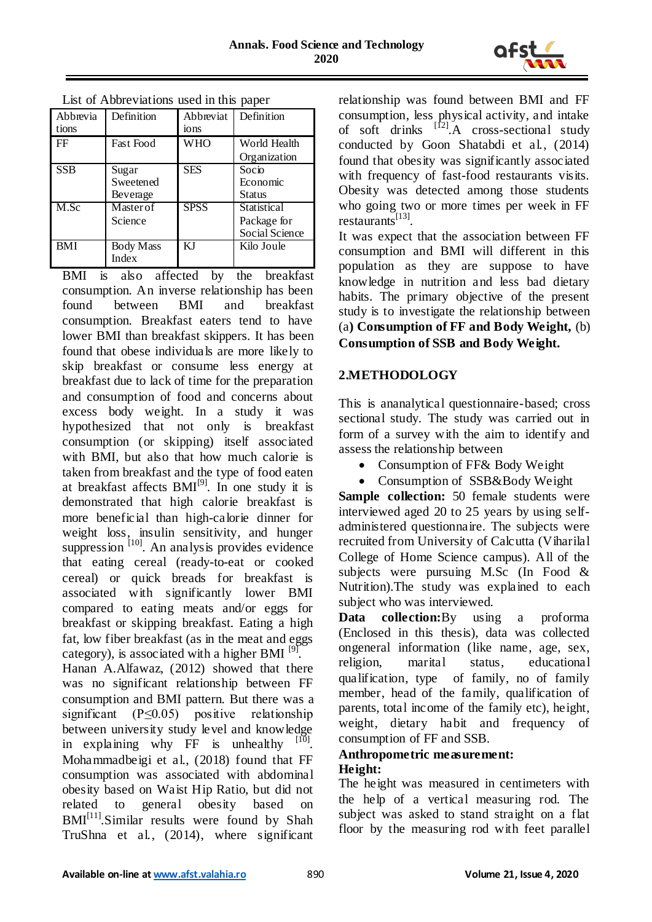

| Lest of Abore valuers ased in this paper |                                |                               |                                              |  |  |  |  |
|------------------------------------------|--------------------------------|-------------------------------|----------------------------------------------|--|--|--|--|
| Abbrevia<br>tions                        | Definition                     | Abbreviat<br>10 <sub>ns</sub> | Definition                                   |  |  |  |  |
| FF                                       | <b>Fast Food</b>               | <b>WHO</b>                    | World Health<br>Organization                 |  |  |  |  |
| <b>SSB</b>                               | Sugar<br>Sweetened<br>Beverage | <b>SES</b>                    | Socio<br>Economic<br>Status                  |  |  |  |  |
| M.Sc                                     | Master of<br>Science           | <b>SPSS</b>                   | Statistical<br>Package for<br>Social Science |  |  |  |  |
| <b>BMI</b>                               | <b>Body Mass</b><br>Index      | KJ                            | Kilo Joule                                   |  |  |  |  |

List of Abbreviations used in this paper

BMI is also affected by the breakfast consumption. An inverse relationship has been found between BMI and breakfast consumption. Breakfast eaters tend to have lower BMI than breakfast skippers. It has been found that obese individuals are more likely to skip breakfast or consume less energy at breakfast due to lack of time for the preparation and consumption of food and concerns about excess body weight. In a study it was hypothesized that not only is breakfast consumption (or skipping) itself associated with BMI, but also that how much calorie is taken from breakfast and the type of food eaten at breakfast affects  $BMI^{[9]}$ . In one study it is demonstrated that high calorie breakfast is more beneficial than high-calorie dinner for weight loss, insulin sensitivity, and hunger suppression  $\left[10\right]$ . An analysis provides evidence that eating cereal (ready-to-eat or cooked cereal) or quick breads for breakfast is associated with significantly lower BMI compared to eating meats and/or eggs for breakfast or skipping breakfast. Eating a high fat, low fiber breakfast (as in the meat and eggs category), is associated with a higher BMI  $^{[9]}$ . Hanan A.Alfawaz, (2012) showed that there was no significant relationship between FF consumption and BMI pattern. But there was a

significant  $(P \le 0.05)$  positive relationship between university study level and knowledge in explaining why FF is unhealthy  $[10]$ . Mohammadbeigi et al., (2018) found that FF consumption was associated with abdominal obesity based on Waist Hip Ratio, but did not related to general obesity based on  $BMI<sup>[11]</sup>. Similar results were found by Shah$ TruShna et al., (2014), where significant

relationship was found between BMI and FF consumption, less physical activity, and intake of soft drinks  $^{[12]}$ . A cross-sectional study conducted by Goon Shatabdi et al., (2014) found that obesity was significantly associated with frequency of fast-food restaurants visits. Obesity was detected among those students who going two or more times per week in FF restaurants<sup>[13]</sup>.

It was expect that the association between FF consumption and BMI will different in this population as they are suppose to have knowledge in nutrition and less bad dietary habits. The primary objective of the present study is to investigate the relationship between (a**) Consumption of FF and Body Weight,** (b) **Consumption of SSB and Body Weight.** 

# **2.METHODOLOGY**

This is ananalytical questionnaire-based; cross sectional study. The study was carried out in form of a survey with the aim to identify and assess the relationship between

- Consumption of FF& Body Weight
- Consumption of SSB&Body Weight

**Sample collection:** 50 female students were interviewed aged 20 to 25 years by using selfadministered questionnaire. The subjects were recruited from University of Calcutta (Viharilal College of Home Science campus). All of the subjects were pursuing M.Sc (In Food & Nutrition).The study was explained to each subject who was interviewed.

**Data collection:**By using a proforma (Enclosed in this thesis), data was collected ongeneral information (like name, age, sex, religion, marital status, educational qualification, type of family, no of family member, head of the family, qualification of parents, total income of the family etc), height, weight, dietary habit and frequency of consumption of FF and SSB.

### **Anthropometric measurement: Height:**

The height was measured in centimeters with the help of a vertical measuring rod. The subject was asked to stand straight on a flat floor by the measuring rod with feet parallel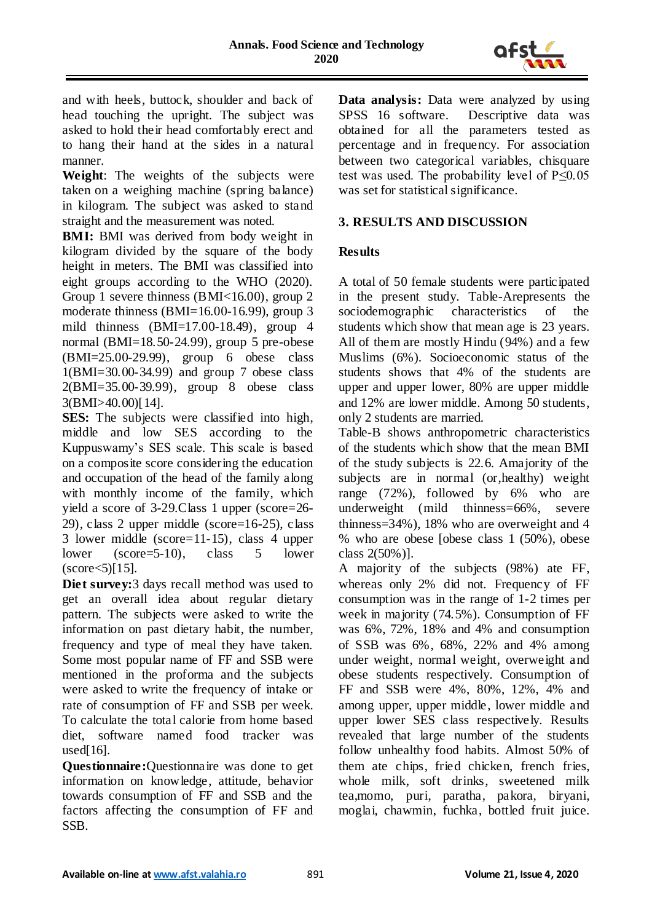

and with heels, buttock, shoulder and back of head touching the upright. The subject was asked to hold their head comfortably erect and to hang their hand at the sides in a natural manner.

**Weight**: The weights of the subjects were taken on a weighing machine (spring balance) in kilogram. The subject was asked to stand straight and the measurement was noted.

**BMI:** BMI was derived from body weight in kilogram divided by the square of the body height in meters. The BMI was classified into eight groups according to the WHO (2020). Group 1 severe thinness (BMI<16.00), group 2 moderate thinness (BMI=16.00-16.99), group 3 mild thinness (BMI=17.00-18.49), group 4 normal (BMI=18.50-24.99), group 5 pre-obese (BMI=25.00-29.99), group 6 obese class 1(BMI=30.00-34.99) and group 7 obese class 2(BMI=35.00-39.99), group 8 obese class 3(BMI>40.00)[14].

**SES:** The subjects were classified into high, middle and low SES according to the Kuppuswamy's SES scale. This scale is based on a composite score considering the education and occupation of the head of the family along with monthly income of the family, which yield a score of 3-29.Class 1 upper (score=26- 29), class 2 upper middle (score=16-25), class 3 lower middle (score=11-15), class 4 upper lower (score=5-10), class 5 lower  $(score<5)[15]$ .

**Diet survey:**3 days recall method was used to get an overall idea about regular dietary pattern. The subjects were asked to write the information on past dietary habit, the number, frequency and type of meal they have taken. Some most popular name of FF and SSB were mentioned in the proforma and the subjects were asked to write the frequency of intake or rate of consumption of FF and SSB per week. To calculate the total calorie from home based diet, software named food tracker was used $[16]$ .

**Questionnaire:**Questionnaire was done to get information on knowledge, attitude, behavior towards consumption of FF and SSB and the factors affecting the consumption of FF and SSB.

**Data analysis:** Data were analyzed by using SPSS 16 software. Descriptive data was obtained for all the parameters tested as percentage and in frequency. For association between two categorical variables, chisquare test was used. The probability level of P≤0.05 was set for statistical significance.

# **3. RESULTS AND DISCUSSION**

## **Results**

A total of 50 female students were participated in the present study. Table-Arepresents the sociodemographic characteristics of the students which show that mean age is 23 years. All of them are mostly Hindu (94%) and a few Muslims (6%). Socioeconomic status of the students shows that 4% of the students are upper and upper lower, 80% are upper middle and 12% are lower middle. Among 50 students, only 2 students are married.

Table-B shows anthropometric characteristics of the students which show that the mean BMI of the study subjects is 22.6. Amajority of the subjects are in normal (or,healthy) weight range (72%), followed by 6% who are underweight (mild thinness=66%, severe thinness=34%), 18% who are overweight and 4 % who are obese [obese class 1 (50%), obese class 2(50%)].

A majority of the subjects (98%) ate FF, whereas only 2% did not. Frequency of FF consumption was in the range of 1-2 times per week in majority (74.5%). Consumption of FF was 6%, 72%, 18% and 4% and consumption of SSB was 6%, 68%, 22% and 4% among under weight, normal weight, overweight and obese students respectively. Consumption of FF and SSB were 4%, 80%, 12%, 4% and among upper, upper middle, lower middle and upper lower SES class respectively. Results revealed that large number of the students follow unhealthy food habits. Almost 50% of them ate chips, fried chicken, french fries, whole milk, soft drinks, sweetened milk tea,momo, puri, paratha, pakora, biryani, moglai, chawmin, fuchka, bottled fruit juice.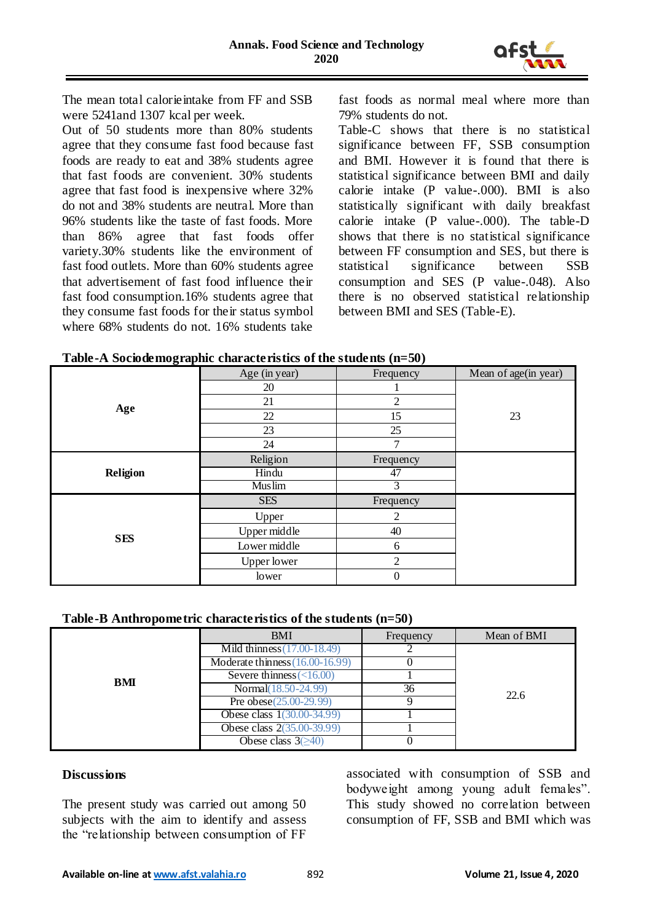

The mean total calorieintake from FF and SSB were 5241and 1307 kcal per week.

Out of 50 students more than 80% students agree that they consume fast food because fast foods are ready to eat and 38% students agree that fast foods are convenient. 30% students agree that fast food is inexpensive where 32% do not and 38% students are neutral. More than 96% students like the taste of fast foods. More than 86% agree that fast foods offer variety.30% students like the environment of fast food outlets. More than 60% students agree that advertisement of fast food influence their fast food consumption.16% students agree that they consume fast foods for their status symbol where 68% students do not. 16% students take

fast foods as normal meal where more than 79% students do not.

Table-C shows that there is no statistical significance between FF, SSB consumption and BMI. However it is found that there is statistical significance between BMI and daily calorie intake (P value-.000). BMI is also statistically significant with daily breakfast calorie intake (P value-.000). The table-D shows that there is no statistical significance between FF consumption and SES, but there is statistical significance between SSB consumption and SES (P value-.048). Also there is no observed statistical relationship between BMI and SES (Table-E).

|  |  | Table-A Sociodemographic characteristics of the students (n=50) |  |
|--|--|-----------------------------------------------------------------|--|
|  |  |                                                                 |  |

|            | Age (in year)      | Frequency      | Mean of age(in year) |
|------------|--------------------|----------------|----------------------|
|            | 20                 |                |                      |
| Age        | 21                 | $\overline{2}$ |                      |
|            | 22                 | 15             | 23                   |
|            | 23                 | 25             |                      |
|            | 24                 | $\tau$         |                      |
|            | Religion           | Frequency      |                      |
| Religion   | Hindu              | 47             |                      |
|            | <b>Muslim</b>      | 3              |                      |
|            | <b>SES</b>         | Frequency      |                      |
|            | Upper              | 2              |                      |
|            | Upper middle       | 40             |                      |
| <b>SES</b> | Lower middle       | 6              |                      |
|            | <b>Upper lower</b> | $\overline{2}$ |                      |
|            | lower              | $\theta$       |                      |

### **Table-B Anthropometric characteristics of the students (n=50)**

|     | <b>BMI</b>                        | Frequency | Mean of BMI |
|-----|-----------------------------------|-----------|-------------|
|     | Mild thinness (17.00-18.49)       |           |             |
|     | Moderate thinness $(16.00-16.99)$ |           |             |
| BMI | Severe thinness $\left($ < 16.00) |           |             |
|     | Normal(18.50-24.99)               | 36        | 22.6        |
|     | Pre obese $(25.00-29.99)$         |           |             |
|     | Obese class 1(30.00-34.99)        |           |             |
|     | Obese class 2(35.00-39.99)        |           |             |
|     | Obese class $3(\geq 40)$          |           |             |

### **Discussions**

The present study was carried out among 50 subjects with the aim to identify and assess the "relationship between consumption of FF associated with consumption of SSB and bodyweight among young adult females". This study showed no correlation between consumption of FF, SSB and BMI which was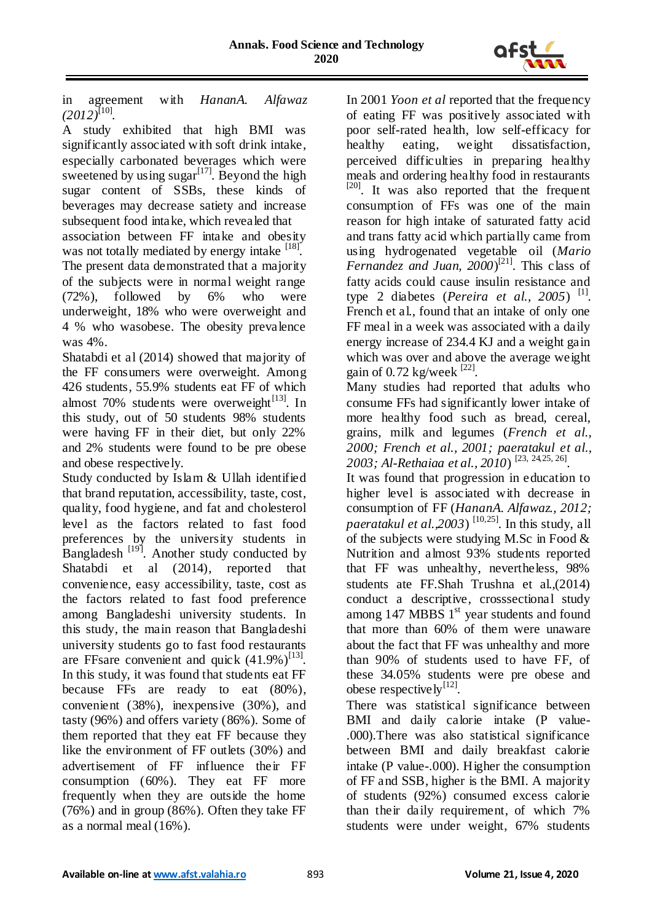

in agreement with *HananA. Alfawaz*   $(2012)^{[10]}$ .

A study exhibited that high BMI was significantly associated with soft drink intake, especially carbonated beverages which were sweetened by using sugar<sup>[17]</sup>. Beyond the high sugar content of SSBs, these kinds of beverages may decrease satiety and increase subsequent food intake, which revealed that association between FF intake and obesity

was not totally mediated by energy intake [18]. The present data demonstrated that a majority of the subjects were in normal weight range (72%), followed by 6% who were underweight, 18% who were overweight and 4 % who wasobese. The obesity prevalence was 4%.

Shatabdi et al (2014) showed that majority of the FF consumers were overweight. Among 426 students, 55.9% students eat FF of which almost  $70\%$  students were overweight<sup>[13]</sup>. In this study, out of 50 students 98% students were having FF in their diet, but only 22% and 2% students were found to be pre obese and obese respectively.

Study conducted by Islam & Ullah identified that brand reputation, accessibility, taste, cost, quality, food hygiene, and fat and cholesterol level as the factors related to fast food preferences by the university students in Bangladesh  $\left[19\right]$ . Another study conducted by Shatabdi et al (2014), reported that convenience, easy accessibility, taste, cost as the factors related to fast food preference among Bangladeshi university students. In this study, the main reason that Bangladeshi university students go to fast food restaurants are FFsare convenient and quick  $(41.9\%)^{[13]}$ . In this study, it was found that students eat FF because FFs are ready to eat (80%), convenient (38%), inexpensive (30%), and tasty (96%) and offers variety (86%). Some of them reported that they eat FF because they like the environment of FF outlets (30%) and advertisement of FF influence their FF consumption (60%). They eat FF more frequently when they are outside the home (76%) and in group (86%). Often they take FF as a normal meal (16%).

In 2001 *Yoon et al* reported that the frequency of eating FF was positively associated with poor self-rated health, low self-efficacy for healthy eating, weight dissatisfaction, perceived difficulties in preparing healthy meals and ordering healthy food in restaurants <sup>[20]</sup>. It was also reported that the frequent consumption of FFs was one of the main reason for high intake of saturated fatty acid and trans fatty acid which partially came from using hydrogenated vegetable oil (*Mario Fernandez and Juan, 2000*) [21]. This class of fatty acids could cause insulin resistance and type 2 diabetes (*Pereira et al.*, 2005)<sup>[1]</sup>. French et al., found that an intake of only one FF meal in a week was associated with a daily energy increase of 234.4 KJ and a weight gain which was over and above the average weight gain of  $0.72$  kg/week  $^{[22]}$ .

Many studies had reported that adults who consume FFs had significantly lower intake of more healthy food such as bread, cereal, grains, milk and legumes (*French et al., 2000; French et al., 2001; paeratakul et al., 2003; Al-Rethaiaa et al., 2010*) [23, 24,25, 26] .

It was found that progression in education to higher level is associated with decrease in consumption of FF (*HananA. Alfawaz., 2012; paeratakul et al.,2003*)<sup>[10,25]</sup>. In this study, all of the subjects were studying M.Sc in Food  $\&$ Nutrition and almost 93% students reported that FF was unhealthy, nevertheless, 98% students ate FF.Shah Trushna et al.,(2014) conduct a descriptive, crosssectional study among 147 MBBS 1<sup>st</sup> year students and found that more than 60% of them were unaware about the fact that FF was unhealthy and more than 90% of students used to have FF, of these 34.05% students were pre obese and obese respectively $^{[12]}$ .

There was statistical significance between BMI and daily calorie intake (P value- .000).There was also statistical significance between BMI and daily breakfast calorie intake (P value-.000). Higher the consumption of FF and SSB, higher is the BMI. A majority of students (92%) consumed excess calorie than their daily requirement, of which 7% students were under weight, 67% students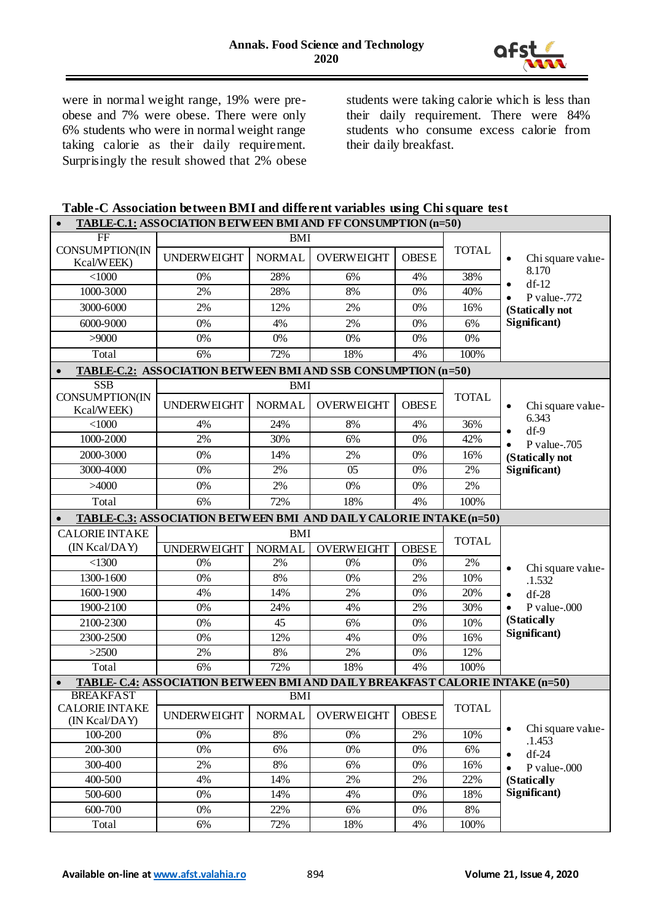

were in normal weight range, 19% were preobese and 7% were obese. There were only 6% students who were in normal weight range taking calorie as their daily requirement. Surprisingly the result showed that 2% obese

students were taking calorie which is less than their daily requirement. There were 84% students who consume excess calorie from their daily breakfast.

| Table-C Association between BMI and different variables using Chi square test    |
|----------------------------------------------------------------------------------|
| <b>TABLE-C.1: ASSOCIATION BETWEEN BMI AND FF CONSUMPTION <math>(n=50)</math></b> |

| FF                                     |                                                                                | <b>BMI</b>    |                   |              |              |                                |  |  |  |  |
|----------------------------------------|--------------------------------------------------------------------------------|---------------|-------------------|--------------|--------------|--------------------------------|--|--|--|--|
| CONSUMPTION(IN<br>Kcal/WEEK)           | <b>UNDERWEIGHT</b>                                                             | <b>NORMAL</b> | <b>OVERWEIGHT</b> | <b>OBESE</b> | <b>TOTAL</b> | Chi square value-<br>$\bullet$ |  |  |  |  |
| $<$ 1000                               | 0%                                                                             | 28%           | 6%                | 4%           | 38%          | 8.170<br>$df-12$<br>$\bullet$  |  |  |  |  |
| 1000-3000                              | 2%                                                                             | 28%           | 8%                | 0%           | 40%          | P value-.772                   |  |  |  |  |
| 3000-6000                              | 2%                                                                             | 12%           | 2%                | 0%           | 16%          | (Statically not                |  |  |  |  |
| 6000-9000                              | 0%                                                                             | 4%            | 2%                | 0%           | 6%           | Significant)                   |  |  |  |  |
| >9000                                  | 0%                                                                             | 0%            | 0%                | 0%           | 0%           |                                |  |  |  |  |
| Total                                  | 6%                                                                             | 72%           | 18%               | 4%           | 100%         |                                |  |  |  |  |
|                                        | <b>TABLE-C.2: ASSOCIATION B ETWEEN BMI AND SSB CONSUMPTION (n=50)</b>          |               |                   |              |              |                                |  |  |  |  |
| SSB                                    |                                                                                | <b>BMI</b>    |                   |              |              |                                |  |  |  |  |
| CONSUMPTION(IN<br>Kcal/WEEK)           | <b>UNDERWEIGHT</b>                                                             | <b>NORMAL</b> | <b>OVERWEIGHT</b> | <b>OBESE</b> | <b>TOTAL</b> | Chi square value-<br>$\bullet$ |  |  |  |  |
| $<$ 1000                               | 4%                                                                             | 24%           | 8%                | 4%           | 36%          | 6.343<br>$df-9$                |  |  |  |  |
| 1000-2000                              | 2%                                                                             | 30%           | 6%                | 0%           | 42%          | P value-.705                   |  |  |  |  |
| 2000-3000                              | 0%                                                                             | 14%           | 2%                | 0%           | 16%          | (Statically not                |  |  |  |  |
| 3000-4000                              | 0%                                                                             | 2%            | $\overline{05}$   | 0%           | 2%           | Significant)                   |  |  |  |  |
| >4000                                  | 0%                                                                             | 2%            | 0%                | 0%           | 2%           |                                |  |  |  |  |
| Total                                  | 6%                                                                             | 72%           | 18%               | 4%           | 100%         |                                |  |  |  |  |
|                                        | TABLE-C.3: ASSOCIATION BETWEEN BMI AND DAILY CALORIE INTAKE (n=50)             |               |                   |              |              |                                |  |  |  |  |
|                                        |                                                                                |               |                   |              |              |                                |  |  |  |  |
|                                        |                                                                                | <b>BMI</b>    |                   |              |              |                                |  |  |  |  |
| <b>CALORIE INTAKE</b><br>(IN Kcal/DAY) | <b>UNDERWEIGHT</b>                                                             | <b>NORMAL</b> | <b>OVERWEIGHT</b> | <b>OBESE</b> | <b>TOTAL</b> |                                |  |  |  |  |
| < 1300                                 | 0%                                                                             | 2%            | 0%                | 0%           | 2%           |                                |  |  |  |  |
| 1300-1600                              | 0%                                                                             | 8%            | 0%                | 2%           | 10%          | Chi square value-              |  |  |  |  |
| 1600-1900                              | 4%                                                                             | 14%           | 2%                | 0%           | 20%          | .1.532<br>$df-28$              |  |  |  |  |
| 1900-2100                              | 0%                                                                             | 24%           | 4%                | 2%           | 30%          | P value-.000                   |  |  |  |  |
| 2100-2300                              | 0%                                                                             | 45            | 6%                | 0%           | 10%          | (Statically                    |  |  |  |  |
| 2300-2500                              | 0%                                                                             | 12%           | 4%                | 0%           | 16%          | Significant)                   |  |  |  |  |
| >2500                                  | 2%                                                                             | 8%            | 2%                | 0%           | 12%          |                                |  |  |  |  |
| Total                                  | 6%                                                                             | 72%           | 18%               | 4%           | 100%         |                                |  |  |  |  |
| $\bullet$                              | TABLE- C.4: ASSOCIATION B ETWEEN BMI AND DAILY BREAKFAST CALORIE INTAKE (n=50) |               |                   |              |              |                                |  |  |  |  |
| <b>BREAKFAST</b>                       |                                                                                | <b>BMI</b>    |                   |              |              |                                |  |  |  |  |
| <b>CALORIE INTAKE</b><br>(IN Kcal/DAY) | <b>UNDERWEIGHT</b>                                                             | <b>NORMAL</b> | <b>OVERWEIGHT</b> | <b>OBESE</b> | <b>TOTAL</b> |                                |  |  |  |  |
| 100-200                                | $0\%$                                                                          | 8%            | 0%                | 2%           | 10%          | Chi square value-              |  |  |  |  |
| 200-300                                | 0%                                                                             | 6%            | $0\%$             | $0\%$        | 6%           | .1.453<br>$df-24$<br>C         |  |  |  |  |
| 300-400                                | 2%                                                                             | $8\%$         | 6%                | 0%           | 16%          | P value-.000                   |  |  |  |  |
| 400-500                                | 4%                                                                             | 14%           | 2%                | 2%           | 22%          | (Statically                    |  |  |  |  |
| 500-600                                | 0%                                                                             | 14%           | 4%                | 0%           | 18%          | Significant)                   |  |  |  |  |
| 600-700                                | 0%                                                                             | 22%<br>72%    | 6%                | $0\%$        | $8\%$        |                                |  |  |  |  |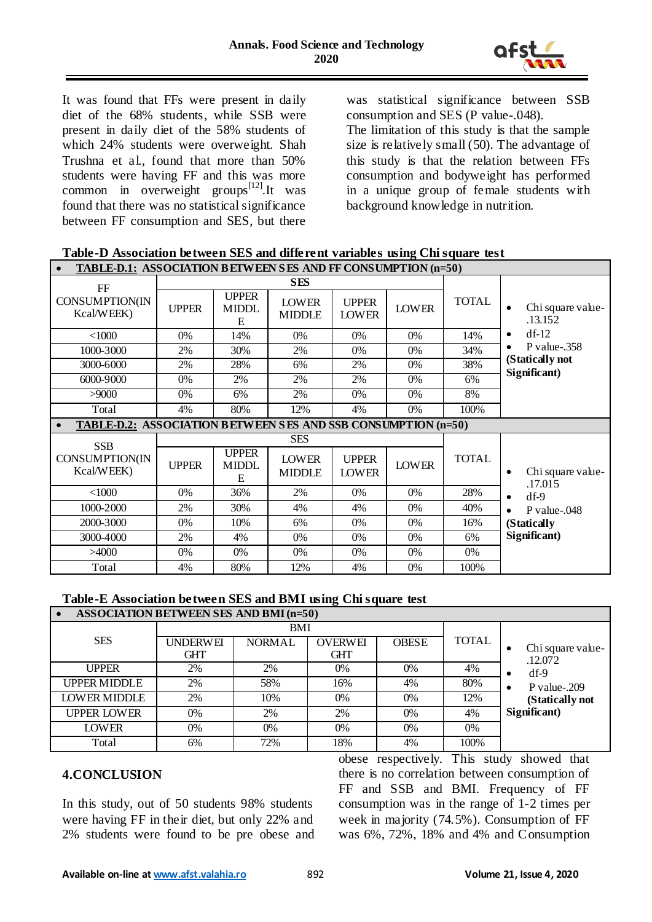

It was found that FFs were present in daily diet of the 68% students, while SSB were present in daily diet of the 58% students of which 24% students were overweight. Shah Trushna et al., found that more than 50% students were having FF and this was more common in overweight groups<sup>[12]</sup>.It was found that there was no statistical significance between FF consumption and SES, but there

was statistical significance between SSB consumption and SES (P value-.048).

The limitation of this study is that the sample size is relatively small (50). The advantage of this study is that the relation between FFs consumption and bodyweight has performed in a unique group of female students with background knowledge in nutrition.

| Table-D Association between SES and different variables using Chi square test |
|-------------------------------------------------------------------------------|
|-------------------------------------------------------------------------------|

| <b>TABLE-D.1: ASSOCIATION BETWEEN SES AND FF CONSUMPTION (n=50)</b>  |              |                                   |                               |                              |              |              |                                           |  |  |
|----------------------------------------------------------------------|--------------|-----------------------------------|-------------------------------|------------------------------|--------------|--------------|-------------------------------------------|--|--|
| $\rm FF$                                                             |              |                                   | <b>SES</b>                    |                              |              |              |                                           |  |  |
| <b>CONSUMPTION(IN</b><br>Kcal/WEEK)                                  | <b>UPPER</b> | <b>UPPER</b><br><b>MIDDL</b><br>E | <b>LOWER</b><br><b>MIDDLE</b> | <b>UPPER</b><br><b>LOWER</b> | <b>LOWER</b> | <b>TOTAL</b> | Chi square value-<br>$\bullet$<br>.13.152 |  |  |
| $<$ 1000                                                             | $0\%$        | 14%                               | $0\%$                         | $0\%$                        | $0\%$        | 14%          | $df-12$<br>٠                              |  |  |
| 1000-3000                                                            | 2%           | 30%                               | 2%                            | 0%                           | $0\%$        | 34%          | $P$ value-.358<br>٠                       |  |  |
| 3000-6000                                                            | 2%           | 28%                               | 6%                            | 2%                           | 0%           | 38%          | (Statically not                           |  |  |
| 6000-9000                                                            | $0\%$        | 2%                                | 2%                            | 2%                           | $0\%$        | 6%           | Significant)                              |  |  |
| >9000                                                                | 0%           | 6%                                | 2%                            | 0%                           | 0%           | 8%           |                                           |  |  |
| Total                                                                | 4%           | 80%                               | 12%                           | 4%                           | $0\%$        | 100%         |                                           |  |  |
| <b>TABLE-D.2: ASSOCIATION BETWEEN SES AND SSB CONSUMPTION (n=50)</b> |              |                                   |                               |                              |              |              |                                           |  |  |
|                                                                      |              |                                   |                               |                              |              |              |                                           |  |  |
|                                                                      |              |                                   | <b>SES</b>                    |                              |              |              |                                           |  |  |
| <b>SSB</b><br>CONSUMPTION(IN<br>Kcal/WEEK)                           | <b>UPPER</b> | <b>UPPER</b><br><b>MIDDL</b><br>E | <b>LOWER</b><br><b>MIDDLE</b> | <b>UPPER</b><br><b>LOWER</b> | <b>LOWER</b> | <b>TOTAL</b> | Chi square value-<br>$\bullet$            |  |  |
| $<$ 1000                                                             | 0%           | 36%                               | 2%                            | 0%                           | 0%           | 28%          | .17.015<br>$\bullet$                      |  |  |
| 1000-2000                                                            | 2%           | 30%                               | 4%                            | 4%                           | $0\%$        | 40%          | $df-9$<br>$P$ value-.048<br>$\bullet$     |  |  |
| 2000-3000                                                            | $0\%$        | 10%                               | 6%                            | $0\%$                        | $0\%$        | 16%          | (Statically                               |  |  |
| 3000-4000                                                            | 2%           | 4%                                | 0%                            | $0\%$                        | $0\%$        | 6%           | Significant)                              |  |  |
| >4000                                                                | 0%           | 0%                                | 0%                            | 0%                           | 0%           | 0%           |                                           |  |  |

# **Table-E Association between SES and BMI using Chi square test**

| <b>ASSOCIATION BETWEEN SES AND BMI (n=50)</b> |                 |               |                |              |              |                     |  |  |
|-----------------------------------------------|-----------------|---------------|----------------|--------------|--------------|---------------------|--|--|
|                                               |                 | BMI           |                |              |              |                     |  |  |
| <b>SES</b>                                    | <b>UNDERWEI</b> | <b>NORMAL</b> | <b>OVERWEI</b> | <b>OBESE</b> | <b>TOTAL</b> | Chi square value-   |  |  |
|                                               | GHT             |               | <b>GHT</b>     |              |              | .12.072             |  |  |
| UPPER                                         | 2%              | 2%            | 0%             | 0%           | 4%           | $df-9$              |  |  |
| <b>UPPER MIDDLE</b>                           | 2%              | 58%           | 16%            | 4%           | 80%          | $P$ value-.209<br>٠ |  |  |
| <b>LOWER MIDDLE</b>                           | 2%              | 10%           | $0\%$          | 0%           | 12%          | (Statically not     |  |  |
| <b>UPPER LOWER</b>                            | 0%              | 2%            | 2%             | 0%           | 4%           | Significant)        |  |  |
| LOWER                                         | $0\%$           | $0\%$         | 0%             | $0\%$        | 0%           |                     |  |  |
| Total                                         | 6%              | 72%           | 18%            | 4%           | 100%         |                     |  |  |

## **4.CONCLUSION**

In this study, out of 50 students 98% students were having FF in their diet, but only 22% and 2% students were found to be pre obese and obese respectively. This study showed that there is no correlation between consumption of FF and SSB and BMI. Frequency of FF consumption was in the range of 1-2 times per week in majority (74.5%). Consumption of FF was 6%, 72%, 18% and 4% and Consumption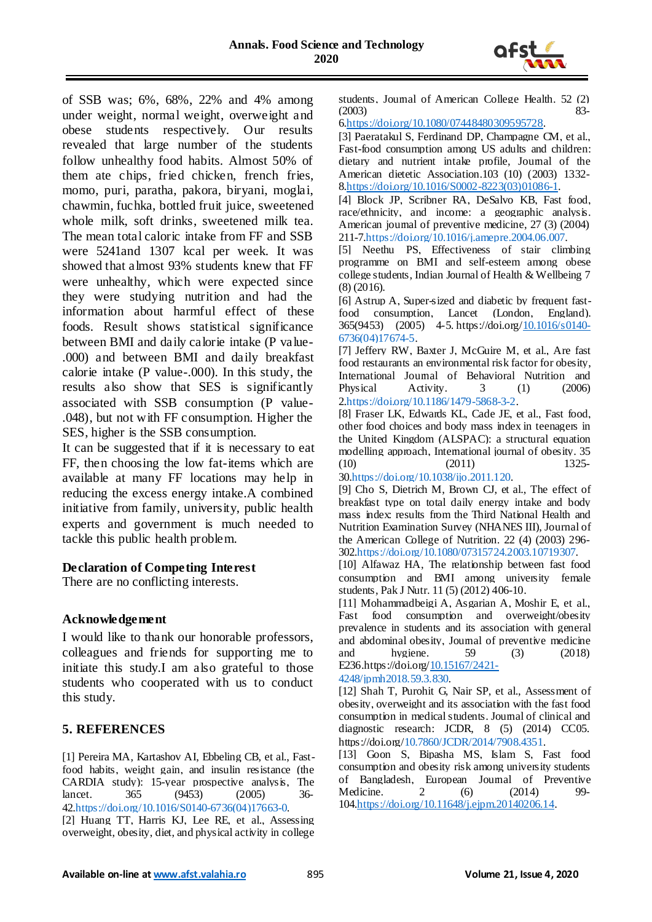

of SSB was; 6%, 68%, 22% and 4% among under weight, normal weight, overweight and obese students respectively. Our results revealed that large number of the students follow unhealthy food habits. Almost 50% of them ate chips, fried chicken, french fries, momo, puri, paratha, pakora, biryani, moglai, chawmin, fuchka, bottled fruit juice, sweetened whole milk, soft drinks, sweetened milk tea. The mean total caloric intake from FF and SSB were 5241and 1307 kcal per week. It was showed that almost 93% students knew that FF were unhealthy, which were expected since they were studying nutrition and had the information about harmful effect of these foods. Result shows statistical significance between BMI and daily calorie intake (P value- .000) and between BMI and daily breakfast calorie intake (P value-.000). In this study, the results also show that SES is significantly associated with SSB consumption (P value- .048), but not with FF consumption. Higher the SES, higher is the SSB consumption.

It can be suggested that if it is necessary to eat FF, then choosing the low fat-items which are available at many FF locations may help in reducing the excess energy intake.A combined initiative from family, university, public health experts and government is much needed to tackle this public health problem.

### **Declaration of Competing Interest**

There are no conflicting interests.

### **Acknowledgement**

I would like to thank our honorable professors, colleagues and friends for supporting me to initiate this study.I am also grateful to those students who cooperated with us to conduct this study.

## **5. REFERENCES**

[1] Pereira MA, Kartashov AI, Ebbeling CB, et al., Fastfood habits, weight gain, and insulin resistance (the CARDIA study): 15-year prospective analysis, The lancet. 365 (9453) (2005) 36- 42[.https://doi.org/10.1016/S0140-6736\(04\)17663-0.](https://doi.org/10.1016/S0140-6736(04)17663-0)

[2] Huang TT, Harris KJ, Lee RE, et al., Assessing overweight, obesity, diet, and physical activity in college students, Journal of American College Health. 52 (2) (2003) 83-

[6.https://doi.org/10.1080/07448480309595728.](https://doi.org/10.1080/07448480309595728)

[3] Paeratakul S, Ferdinand DP, Champagne CM, et al., Fast-food consumption among US adults and children: dietary and nutrient intake profile, Journal of the American dietetic Association.103 (10) (2003) 1332- [8.https://doi.org/10.1016/S0002-8223\(03\)01086-1.](https://doi.org/10.1016/S0002-8223(03)01086-1)

[4] Block JP, Scribner RA, DeSalvo KB, Fast food, race/ethnicity, and income: a geographic analysis. American journal of preventive medicine, 27 (3) (2004) 211-7[.https://doi.org/10.1016/j.amepre.2004.06.007.](https://doi.org/10.1016/j.amepre.2004.06.007)

[5] Neethu PS, Effectiveness of stair climbing programme on BMI and self-esteem among obese college students, Indian Journal of Health & Wellbeing 7 (8) (2016).

[6] Astrup A, Super-sized and diabetic by frequent fastfood consumption, Lancet (London, England). 365(9453) (2005) 4-5. https://doi.org[/10.1016/s0140-](https://doi.org/10.1016/s0140-6736(04)17674-5) [6736\(04\)17674-5.](https://doi.org/10.1016/s0140-6736(04)17674-5)

[7] Jeffery RW, Baxter J, McGuire M, et al., Are fast food restaurants an environmental risk factor for obesity, International Journal of Behavioral Nutrition and Physical Activity. 3 (1) (2006) [2.https://doi.org/10.1186/1479-5868-3-2.](https://doi.org/10.1186/1479-5868-3-2)

[8] Fraser LK, Edwards KL, Cade JE, et al., Fast food, other food choices and body mass index in teenagers in the United Kingdom (ALSPAC): a structural equation modelling approach, International journal of obesity. 35 (10) (2011) 1325-

3[0.https://doi.org/10.1038/ijo.2011.120.](https://doi.org/10.1038/ijo.2011.120)

[9] Cho S, Dietrich M, Brown CJ, et al., The effect of breakfast type on total daily energy intake and body mass index: results from the Third National Health and Nutrition Examination Survey (NHANES III), Journal of the American College of Nutrition. 22 (4) (2003) 296- 30[2.https://doi.org/10.1080/07315724.2003.10719307.](https://doi.org/10.1080/07315724.2003.10719307)

[10] Alfawaz HA, The relationship between fast food consumption and BMI among university female students, Pak J Nutr. 11 (5) (2012) 406-10.

[11] Mohammadbeigi A, Asgarian A, Moshir E, et al., consumption and overweight/obesity prevalence in students and its association with general and abdominal obesity, Journal of preventive medicine and hygiene. 59 (3) (2018) E236.https://doi.org[/10.15167/2421-](https://dx.doi.org/10.15167%2F2421-4248%2Fjpmh2018.59.3.830)

#### [4248/jpmh2018.59.3.830.](https://dx.doi.org/10.15167%2F2421-4248%2Fjpmh2018.59.3.830)

[12] Shah T, Purohit G, Nair SP, et al., Assessment of obesity, overweight and its association with the fast food consumption in medical students. Journal of clinical and diagnostic research: JCDR, 8 (5) (2014) CC05. https://doi.org[/10.7860/JCDR/2014/7908.4351.](https://dx.doi.org/10.7860%2FJCDR%2F2014%2F7908.4351)

[13] Goon S, Bipasha MS, Islam S, Fast food consumption and obesity risk among university students of Bangladesh, European Journal of Preventive Medicine. 2 (6) (2014) 99-10[4.https://doi.org/10.11648/j.ejpm.20140206.14.](https://doi.org/10.11648/j.ejpm.20140206.14)